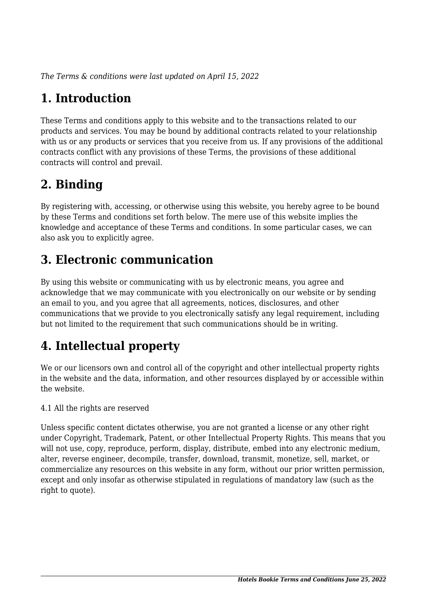*The Terms & conditions were last updated on April 15, 2022*

# **1. Introduction**

These Terms and conditions apply to this website and to the transactions related to our products and services. You may be bound by additional contracts related to your relationship with us or any products or services that you receive from us. If any provisions of the additional contracts conflict with any provisions of these Terms, the provisions of these additional contracts will control and prevail.

### **2. Binding**

By registering with, accessing, or otherwise using this website, you hereby agree to be bound by these Terms and conditions set forth below. The mere use of this website implies the knowledge and acceptance of these Terms and conditions. In some particular cases, we can also ask you to explicitly agree.

### **3. Electronic communication**

By using this website or communicating with us by electronic means, you agree and acknowledge that we may communicate with you electronically on our website or by sending an email to you, and you agree that all agreements, notices, disclosures, and other communications that we provide to you electronically satisfy any legal requirement, including but not limited to the requirement that such communications should be in writing.

# **4. Intellectual property**

We or our licensors own and control all of the copyright and other intellectual property rights in the website and the data, information, and other resources displayed by or accessible within the website.

4.1 All the rights are reserved

Unless specific content dictates otherwise, you are not granted a license or any other right under Copyright, Trademark, Patent, or other Intellectual Property Rights. This means that you will not use, copy, reproduce, perform, display, distribute, embed into any electronic medium, alter, reverse engineer, decompile, transfer, download, transmit, monetize, sell, market, or commercialize any resources on this website in any form, without our prior written permission, except and only insofar as otherwise stipulated in regulations of mandatory law (such as the right to quote).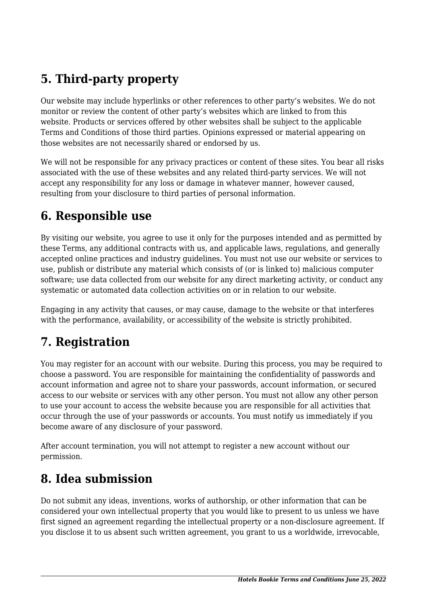### **5. Third-party property**

Our website may include hyperlinks or other references to other party's websites. We do not monitor or review the content of other party's websites which are linked to from this website. Products or services offered by other websites shall be subject to the applicable Terms and Conditions of those third parties. Opinions expressed or material appearing on those websites are not necessarily shared or endorsed by us.

We will not be responsible for any privacy practices or content of these sites. You bear all risks associated with the use of these websites and any related third-party services. We will not accept any responsibility for any loss or damage in whatever manner, however caused, resulting from your disclosure to third parties of personal information.

#### **6. Responsible use**

By visiting our website, you agree to use it only for the purposes intended and as permitted by these Terms, any additional contracts with us, and applicable laws, regulations, and generally accepted online practices and industry guidelines. You must not use our website or services to use, publish or distribute any material which consists of (or is linked to) malicious computer software; use data collected from our website for any direct marketing activity, or conduct any systematic or automated data collection activities on or in relation to our website.

Engaging in any activity that causes, or may cause, damage to the website or that interferes with the performance, availability, or accessibility of the website is strictly prohibited.

#### **7. Registration**

You may register for an account with our website. During this process, you may be required to choose a password. You are responsible for maintaining the confidentiality of passwords and account information and agree not to share your passwords, account information, or secured access to our website or services with any other person. You must not allow any other person to use your account to access the website because you are responsible for all activities that occur through the use of your passwords or accounts. You must notify us immediately if you become aware of any disclosure of your password.

After account termination, you will not attempt to register a new account without our permission.

#### **8. Idea submission**

Do not submit any ideas, inventions, works of authorship, or other information that can be considered your own intellectual property that you would like to present to us unless we have first signed an agreement regarding the intellectual property or a non-disclosure agreement. If you disclose it to us absent such written agreement, you grant to us a worldwide, irrevocable,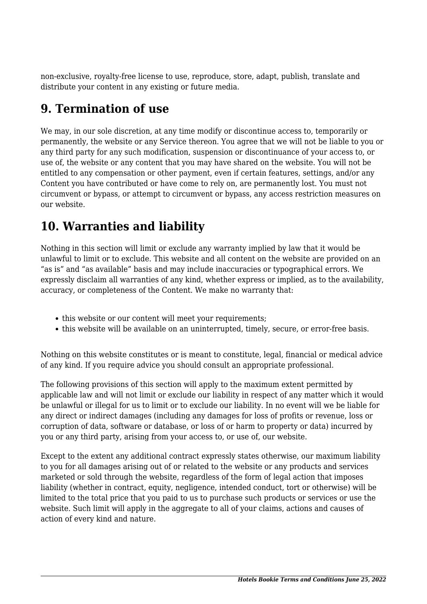non-exclusive, royalty-free license to use, reproduce, store, adapt, publish, translate and distribute your content in any existing or future media.

#### **9. Termination of use**

We may, in our sole discretion, at any time modify or discontinue access to, temporarily or permanently, the website or any Service thereon. You agree that we will not be liable to you or any third party for any such modification, suspension or discontinuance of your access to, or use of, the website or any content that you may have shared on the website. You will not be entitled to any compensation or other payment, even if certain features, settings, and/or any Content you have contributed or have come to rely on, are permanently lost. You must not circumvent or bypass, or attempt to circumvent or bypass, any access restriction measures on our website.

### **10. Warranties and liability**

Nothing in this section will limit or exclude any warranty implied by law that it would be unlawful to limit or to exclude. This website and all content on the website are provided on an "as is" and "as available" basis and may include inaccuracies or typographical errors. We expressly disclaim all warranties of any kind, whether express or implied, as to the availability, accuracy, or completeness of the Content. We make no warranty that:

- this website or our content will meet your requirements;
- this website will be available on an uninterrupted, timely, secure, or error-free basis.

Nothing on this website constitutes or is meant to constitute, legal, financial or medical advice of any kind. If you require advice you should consult an appropriate professional.

The following provisions of this section will apply to the maximum extent permitted by applicable law and will not limit or exclude our liability in respect of any matter which it would be unlawful or illegal for us to limit or to exclude our liability. In no event will we be liable for any direct or indirect damages (including any damages for loss of profits or revenue, loss or corruption of data, software or database, or loss of or harm to property or data) incurred by you or any third party, arising from your access to, or use of, our website.

Except to the extent any additional contract expressly states otherwise, our maximum liability to you for all damages arising out of or related to the website or any products and services marketed or sold through the website, regardless of the form of legal action that imposes liability (whether in contract, equity, negligence, intended conduct, tort or otherwise) will be limited to the total price that you paid to us to purchase such products or services or use the website. Such limit will apply in the aggregate to all of your claims, actions and causes of action of every kind and nature.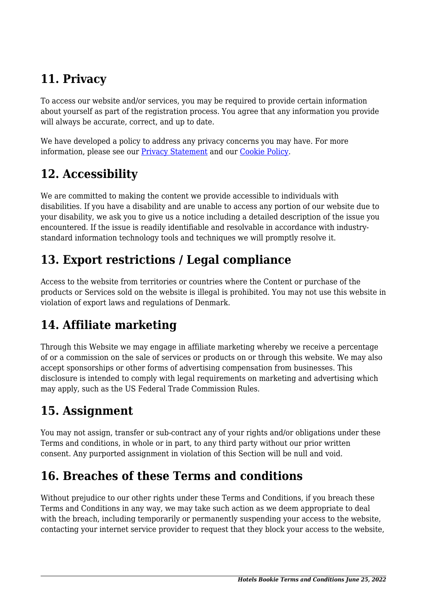# **11. Privacy**

To access our website and/or services, you may be required to provide certain information about yourself as part of the registration process. You agree that any information you provide will always be accurate, correct, and up to date.

We have developed a policy to address any privacy concerns you may have. For more information, please see our Privacy Statement and our Cookie Policy.

# **12. Accessibility**

We are committed to making the content we provide accessible to individuals with disabilities. If you have a disability and are unable to access any portion of our website due to your disability, we ask you to give us a notice including a detailed description of the issue you encountered. If the issue is readily identifiable and resolvable in accordance with industrystandard information technology tools and techniques we will promptly resolve it.

# **13. Export restrictions / Legal compliance**

Access to the website from territories or countries where the Content or purchase of the products or Services sold on the website is illegal is prohibited. You may not use this website in violation of export laws and regulations of Denmark.

# **14. Affiliate marketing**

Through this Website we may engage in affiliate marketing whereby we receive a percentage of or a commission on the sale of services or products on or through this website. We may also accept sponsorships or other forms of advertising compensation from businesses. This disclosure is intended to comply with legal requirements on marketing and advertising which may apply, such as the US Federal Trade Commission Rules.

# **15. Assignment**

You may not assign, transfer or sub-contract any of your rights and/or obligations under these Terms and conditions, in whole or in part, to any third party without our prior written consent. Any purported assignment in violation of this Section will be null and void.

# **16. Breaches of these Terms and conditions**

Without prejudice to our other rights under these Terms and Conditions, if you breach these Terms and Conditions in any way, we may take such action as we deem appropriate to deal with the breach, including temporarily or permanently suspending your access to the website, contacting your internet service provider to request that they block your access to the website,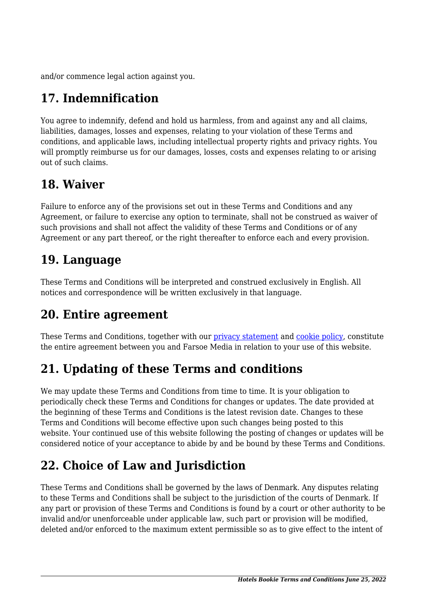and/or commence legal action against you.

# **17. Indemnification**

You agree to indemnify, defend and hold us harmless, from and against any and all claims, liabilities, damages, losses and expenses, relating to your violation of these Terms and conditions, and applicable laws, including intellectual property rights and privacy rights. You will promptly reimburse us for our damages, losses, costs and expenses relating to or arising out of such claims.

#### **18. Waiver**

Failure to enforce any of the provisions set out in these Terms and Conditions and any Agreement, or failure to exercise any option to terminate, shall not be construed as waiver of such provisions and shall not affect the validity of these Terms and Conditions or of any Agreement or any part thereof, or the right thereafter to enforce each and every provision.

#### **19. Language**

These Terms and Conditions will be interpreted and construed exclusively in English. All notices and correspondence will be written exclusively in that language.

#### **20. Entire agreement**

These Terms and Conditions, together with our privacy statement and cookie policy, constitute the entire agreement between you and Farsoe Media in relation to your use of this website.

# **21. Updating of these Terms and conditions**

We may update these Terms and Conditions from time to time. It is your obligation to periodically check these Terms and Conditions for changes or updates. The date provided at the beginning of these Terms and Conditions is the latest revision date. Changes to these Terms and Conditions will become effective upon such changes being posted to this website. Your continued use of this website following the posting of changes or updates will be considered notice of your acceptance to abide by and be bound by these Terms and Conditions.

# **22. Choice of Law and Jurisdiction**

These Terms and Conditions shall be governed by the laws of Denmark. Any disputes relating to these Terms and Conditions shall be subject to the jurisdiction of the courts of Denmark. If any part or provision of these Terms and Conditions is found by a court or other authority to be invalid and/or unenforceable under applicable law, such part or provision will be modified, deleted and/or enforced to the maximum extent permissible so as to give effect to the intent of